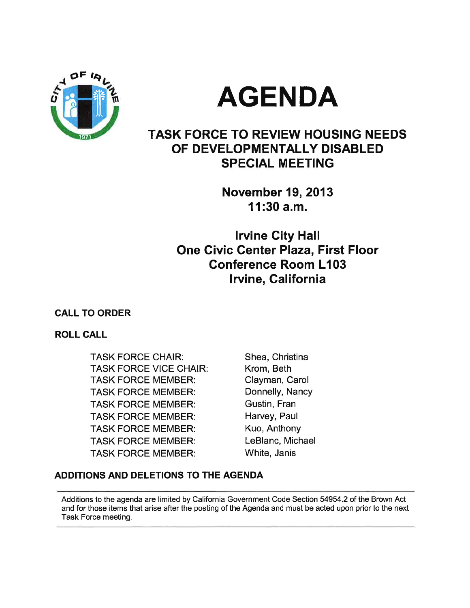

# **AGENDA**

# **TASK FORCE TO REVIEW HOUSING NEEDS** OF DEVELOPMENTALLY DISABLED **SPECIAL MEETING**

**November 19, 2013**  $11:30$  a.m.

**Irvine City Hall One Civic Center Plaza, First Floor Conference Room L103** Irvine, California

# **CALL TO ORDER**

# **ROLL CALL**

**TASK FORCE CHAIR: TASK FORCE VICE CHAIR: TASK FORCE MEMBER: TASK FORCE MEMBER: TASK FORCE MEMBER: TASK FORCE MEMBER: TASK FORCE MEMBER: TASK FORCE MEMBER: TASK FORCE MEMBER:** 

Shea, Christina Krom. Beth Clayman, Carol Donnelly, Nancy Gustin, Fran Harvey, Paul Kuo, Anthony LeBlanc, Michael White, Janis

# ADDITIONS AND DELETIONS TO THE AGENDA

Additions to the agenda are limited by California Government Code Section 54954.2 of the Brown Act and for those items that arise after the posting of the Agenda and must be acted upon prior to the next Task Force meeting.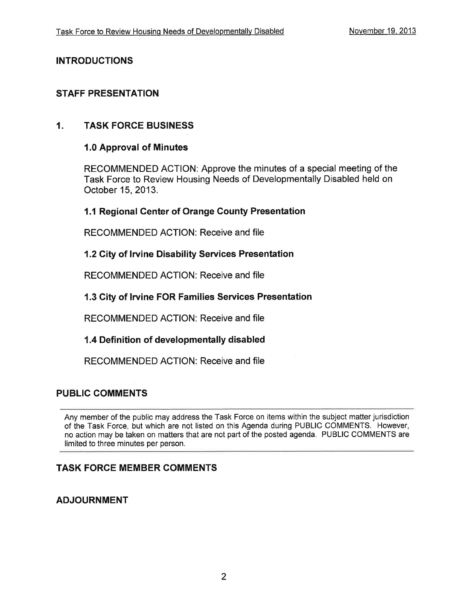## **INTRODUCTIONS**

## **STAFF PRESENTATION**

#### $\mathbf{1}$ . **TASK FORCE BUSINESS**

### 1.0 Approval of Minutes

RECOMMENDED ACTION: Approve the minutes of a special meeting of the Task Force to Review Housing Needs of Developmentally Disabled held on October 15, 2013.

### 1.1 Regional Center of Orange County Presentation

RECOMMENDED ACTION: Receive and file

#### 1.2 City of Irvine Disability Services Presentation

RECOMMENDED ACTION: Receive and file

### 1.3 City of Irvine FOR Families Services Presentation

RECOMMENDED ACTION: Receive and file

### 1.4 Definition of developmentally disabled

RECOMMENDED ACTION: Receive and file

## **PUBLIC COMMENTS**

Any member of the public may address the Task Force on items within the subject matter jurisdiction of the Task Force, but which are not listed on this Agenda during PUBLIC COMMENTS. However, no action may be taken on matters that are not part of the posted agenda. PUBLIC COMMENTS are limited to three minutes per person.

# **TASK FORCE MEMBER COMMENTS**

# **ADJOURNMENT**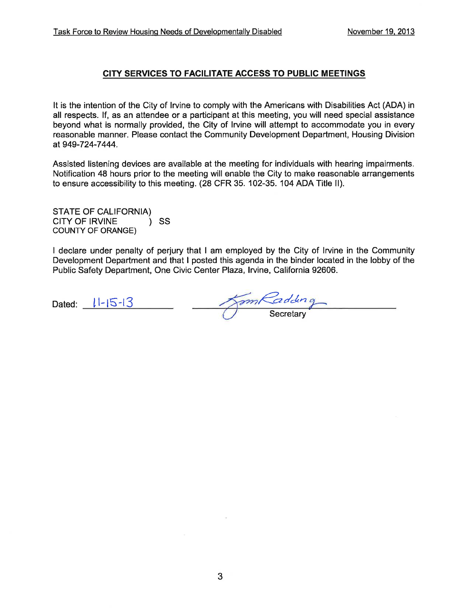#### CITY SERVICES TO FACILITATE ACCESS TO PUBLIC MEETINGS

It is the intention of the City of Irvine to comply with the Americans with Disabilities Act (ADA) in all respects. If, as an attendee or a participant at this meeting, you will need special assistance beyond what is normally provided, the City of Irvine will attempt to accommodate you in every reasonable manner. Please contact the Community Development Department, Housing Division at 949-724-7444.

Assisted listening devices are available at the meeting for individuals with hearing impairments. Notification 48 hours prior to the meeting will enable the City to make reasonable arrangements to ensure accessibility to this meeting. (28 CFR 35, 102-35, 104 ADA Title II).

**STATE OF CALIFORNIA)** CITY OF IRVINE  $\mathcal{L}$ **SS COUNTY OF ORANGE)** 

I declare under penalty of perjury that I am employed by the City of Irvine in the Community Development Department and that I posted this agenda in the binder located in the lobby of the Public Safety Department, One Civic Center Plaza, Irvine, California 92606.

Dated:  $11-15-13$ 

JamKadding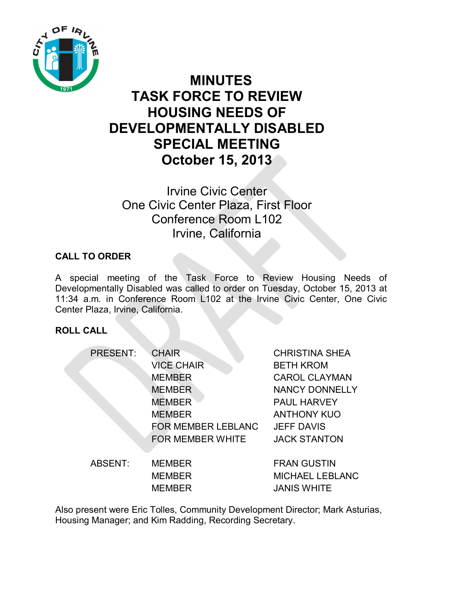

# **MINUTES TASK FORCE TO REVIEW HOUSING NEEDS OF DEVELOPMENTALLY DISABLED SPECIAL MEETING October 15, 2013**

Irvine Civic Center One Civic Center Plaza, First Floor Conference Room L102 Irvine, California

# **CALL TO ORDER**

A special meeting of the Task Force to Review Housing Needs of Developmentally Disabled was called to order on Tuesday, October 15, 2013 at 11:34 a.m. in Conference Room L102 at the Irvine Civic Center, One Civic Center Plaza, Irvine, California.

# **ROLL CALL**

| <b>PRESENT:</b> | <b>CHAIR</b>              | <b>CHRISTINA SHEA</b>  |
|-----------------|---------------------------|------------------------|
|                 | <b>VICE CHAIR</b>         | <b>BETH KROM</b>       |
|                 | <b>MEMBER</b>             | <b>CAROL CLAYMAN</b>   |
|                 | <b>MEMBER</b>             | <b>NANCY DONNELLY</b>  |
|                 | <b>MEMBER</b>             | <b>PAUL HARVEY</b>     |
|                 | <b>MEMBER</b>             | <b>ANTHONY KUO</b>     |
|                 | <b>FOR MEMBER LEBLANC</b> | <b>JEFF DAVIS</b>      |
|                 | <b>FOR MEMBER WHITE</b>   | <b>JACK STANTON</b>    |
| ABSENT:         | <b>MEMBER</b>             | <b>FRAN GUSTIN</b>     |
|                 | <b>MEMBER</b>             | <b>MICHAEL LEBLANC</b> |

Also present were Eric Tolles, Community Development Director; Mark Asturias, Housing Manager; and Kim Radding, Recording Secretary.

MEMBER JANIS WHITE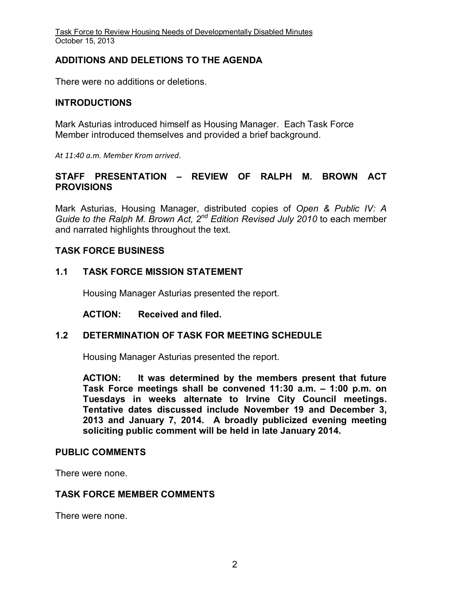Task Force to Review Housing Needs of Developmentally Disabled Minutes October 15, 2013

### **ADDITIONS AND DELETIONS TO THE AGENDA**

There were no additions or deletions.

### **INTRODUCTIONS**

Mark Asturias introduced himself as Housing Manager. Each Task Force Member introduced themselves and provided a brief background.

*At 11:40 a.m. Member Krom arrived.* 

## **STAFF PRESENTATION – REVIEW OF RALPH M. BROWN ACT PROVISIONS**

Mark Asturias, Housing Manager, distributed copies of *Open & Public IV: A Guide to the Ralph M. Brown Act, 2nd Edition Revised July 2010* to each member and narrated highlights throughout the text.

### **TASK FORCE BUSINESS**

### **1.1 TASK FORCE MISSION STATEMENT**

Housing Manager Asturias presented the report.

**ACTION: Received and filed.** 

#### **1.2 DETERMINATION OF TASK FOR MEETING SCHEDULE**

Housing Manager Asturias presented the report.

**ACTION: It was determined by the members present that future Task Force meetings shall be convened 11:30 a.m. – 1:00 p.m. on Tuesdays in weeks alternate to Irvine City Council meetings. Tentative dates discussed include November 19 and December 3, 2013 and January 7, 2014. A broadly publicized evening meeting soliciting public comment will be held in late January 2014.**

#### **PUBLIC COMMENTS**

There were none.

#### **TASK FORCE MEMBER COMMENTS**

There were none.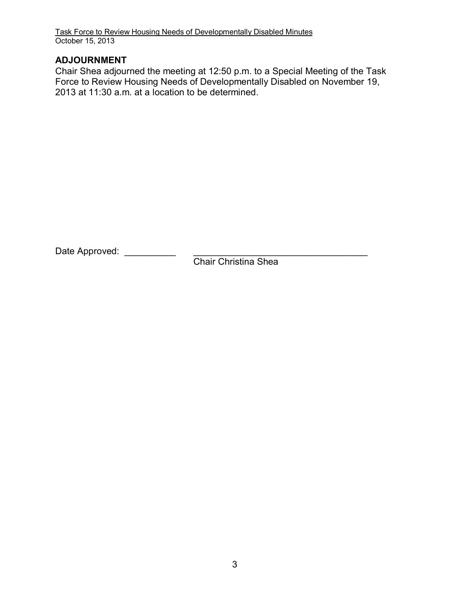Task Force to Review Housing Needs of Developmentally Disabled Minutes October 15, 2013

# **ADJOURNMENT**

Chair Shea adjourned the meeting at 12:50 p.m. to a Special Meeting of the Task Force to Review Housing Needs of Developmentally Disabled on November 19, 2013 at 11:30 a.m. at a location to be determined.

Date Approved: \_\_\_\_\_\_\_\_\_\_ \_\_\_\_\_\_\_\_\_\_\_\_\_\_\_\_\_\_\_\_\_\_\_\_\_\_\_\_\_\_\_\_\_\_

Chair Christina Shea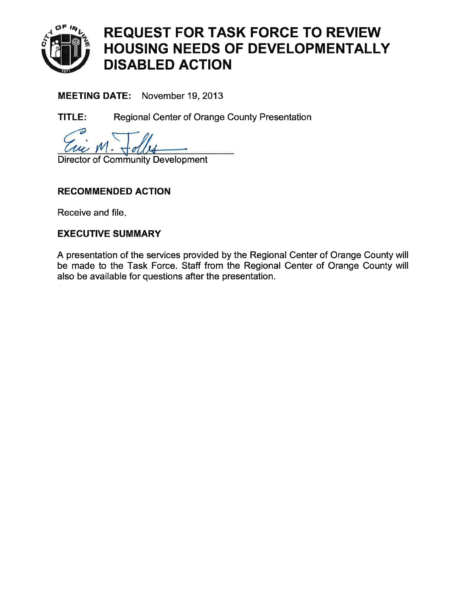

**MEETING DATE:** November 19, 2013

Regional Center of Orange County Presentation TITLE:

**Director of Community Development** 

# **RECOMMENDED ACTION**

Receive and file.

# **EXECUTIVE SUMMARY**

A presentation of the services provided by the Regional Center of Orange County will be made to the Task Force. Staff from the Regional Center of Orange County will also be available for questions after the presentation.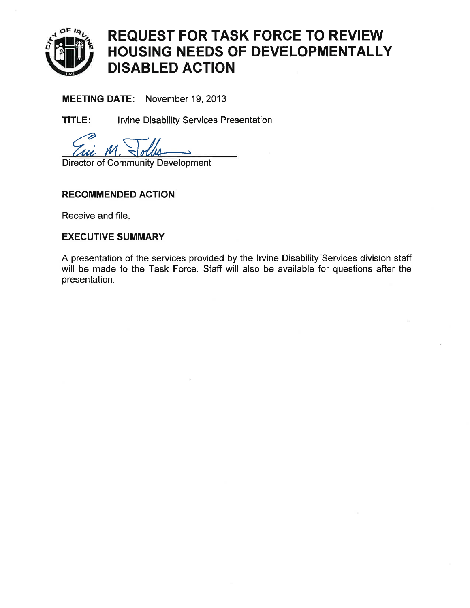

MEETING DATE: November 19, 2013

**Irvine Disability Services Presentation** TITLE:

**Director of Community Development** 

# **RECOMMENDED ACTION**

Receive and file.

# **EXECUTIVE SUMMARY**

A presentation of the services provided by the Irvine Disability Services division staff will be made to the Task Force. Staff will also be available for questions after the presentation.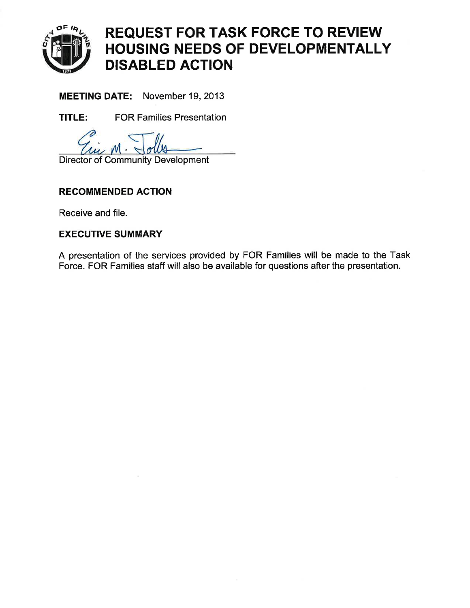

MEETING DATE: November 19, 2013

**FOR Families Presentation** TITLE:

### **Director of Community Development**

# **RECOMMENDED ACTION**

Receive and file.

# **EXECUTIVE SUMMARY**

A presentation of the services provided by FOR Families will be made to the Task Force. FOR Families staff will also be available for questions after the presentation.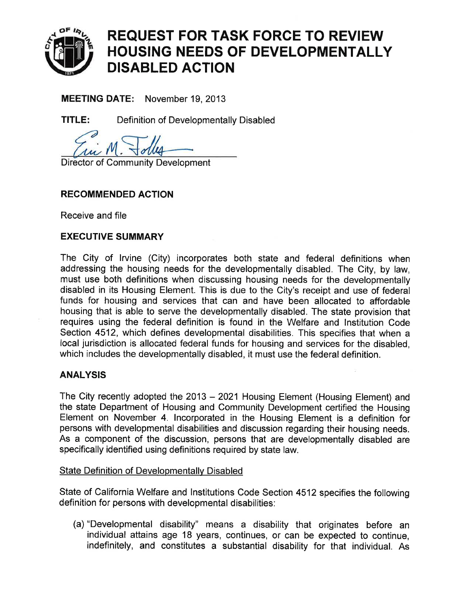

**MEETING DATE:** November 19, 2013

TITLE: Definition of Developmentally Disabled

**Director of Community Development** 

# **RECOMMENDED ACTION**

Receive and file

## **EXECUTIVE SUMMARY**

The City of Irvine (City) incorporates both state and federal definitions when addressing the housing needs for the developmentally disabled. The City, by law, must use both definitions when discussing housing needs for the developmentally disabled in its Housing Element. This is due to the City's receipt and use of federal funds for housing and services that can and have been allocated to affordable housing that is able to serve the developmentally disabled. The state provision that requires using the federal definition is found in the Welfare and Institution Code Section 4512, which defines developmental disabilities. This specifies that when a local jurisdiction is allocated federal funds for housing and services for the disabled. which includes the developmentally disabled, it must use the federal definition.

### **ANALYSIS**

The City recently adopted the 2013 – 2021 Housing Element (Housing Element) and the state Department of Housing and Community Development certified the Housing Element on November 4. Incorporated in the Housing Element is a definition for persons with developmental disabilities and discussion regarding their housing needs. As a component of the discussion, persons that are developmentally disabled are specifically identified using definitions required by state law.

### **State Definition of Developmentally Disabled**

State of California Welfare and Institutions Code Section 4512 specifies the following definition for persons with developmental disabilities:

(a) "Developmental disability" means a disability that originates before an individual attains age 18 years, continues, or can be expected to continue, indefinitely, and constitutes a substantial disability for that individual. As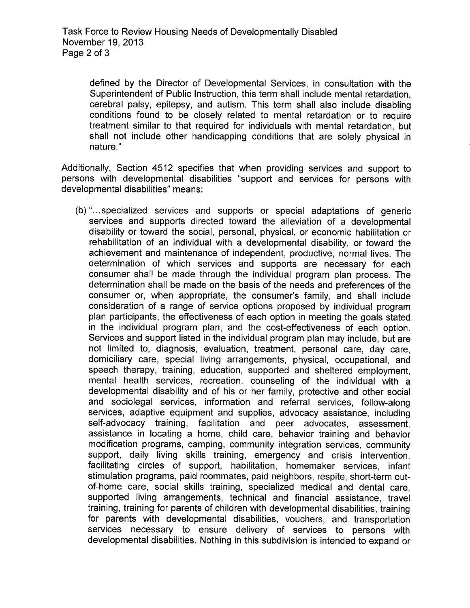defined by the Director of Developmental Services, in consultation with the Superintendent of Public Instruction, this term shall include mental retardation. cerebral palsy, epilepsy, and autism. This term shall also include disabling conditions found to be closely related to mental retardation or to require treatment similar to that required for individuals with mental retardation, but shall not include other handicapping conditions that are solely physical in nature."

Additionally, Section 4512 specifies that when providing services and support to persons with developmental disabilities "support and services for persons with developmental disabilities" means:

(b) "...specialized services and supports or special adaptations of generic services and supports directed toward the alleviation of a developmental disability or toward the social, personal, physical, or economic habilitation or rehabilitation of an individual with a developmental disability, or toward the achievement and maintenance of independent, productive, normal lives. The determination of which services and supports are necessary for each consumer shall be made through the individual program plan process. The determination shall be made on the basis of the needs and preferences of the consumer or, when appropriate, the consumer's family, and shall include consideration of a range of service options proposed by individual program plan participants, the effectiveness of each option in meeting the goals stated in the individual program plan, and the cost-effectiveness of each option. Services and support listed in the individual program plan may include, but are not limited to, diagnosis, evaluation, treatment, personal care, day care, domiciliary care, special living arrangements, physical, occupational, and speech therapy, training, education, supported and sheltered employment. mental health services, recreation, counseling of the individual with a developmental disability and of his or her family, protective and other social and sociolegal services, information and referral services, follow-along services, adaptive equipment and supplies, advocacy assistance, including self-advocacy training, facilitation and peer advocates, assessment, assistance in locating a home, child care, behavior training and behavior modification programs, camping, community integration services, community support, daily living skills training, emergency and crisis intervention, facilitating circles of support, habilitation, homemaker services, infant stimulation programs, paid roommates, paid neighbors, respite, short-term outof-home care, social skills training, specialized medical and dental care. supported living arrangements, technical and financial assistance, travel training, training for parents of children with developmental disabilities, training for parents with developmental disabilities, vouchers, and transportation services necessary to ensure delivery of services to persons with developmental disabilities. Nothing in this subdivision is intended to expand or